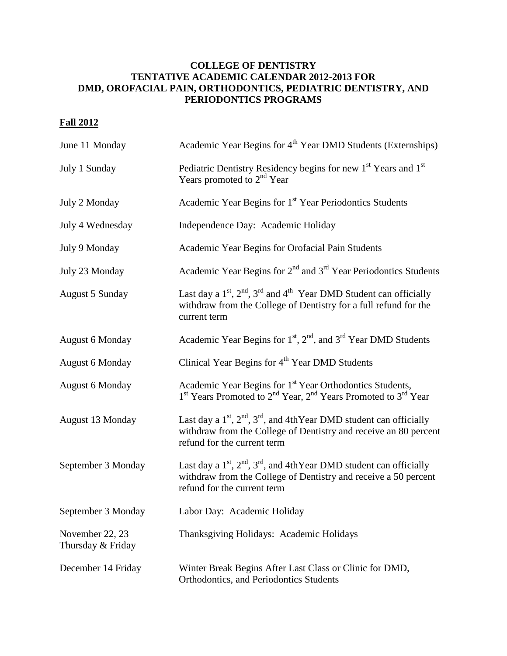## **COLLEGE OF DENTISTRY TENTATIVE ACADEMIC CALENDAR 2012-2013 FOR DMD, OROFACIAL PAIN, ORTHODONTICS, PEDIATRIC DENTISTRY, AND PERIODONTICS PROGRAMS**

## **Fall 2012**

| June 11 Monday                       | Academic Year Begins for 4 <sup>th</sup> Year DMD Students (Externships)                                                                                                               |
|--------------------------------------|----------------------------------------------------------------------------------------------------------------------------------------------------------------------------------------|
| July 1 Sunday                        | Pediatric Dentistry Residency begins for new 1 <sup>st</sup> Years and 1 <sup>st</sup><br>Years promoted to $2nd$ Year                                                                 |
| July 2 Monday                        | Academic Year Begins for 1 <sup>st</sup> Year Periodontics Students                                                                                                                    |
| July 4 Wednesday                     | Independence Day: Academic Holiday                                                                                                                                                     |
| July 9 Monday                        | Academic Year Begins for Orofacial Pain Students                                                                                                                                       |
| July 23 Monday                       | Academic Year Begins for $2nd$ and $3rd$ Year Periodontics Students                                                                                                                    |
| <b>August 5 Sunday</b>               | Last day a $1st$ , $2nd$ , $3rd$ and $4th$ Year DMD Student can officially<br>withdraw from the College of Dentistry for a full refund for the<br>current term                         |
| <b>August 6 Monday</b>               | Academic Year Begins for 1 <sup>st</sup> , 2 <sup>nd</sup> , and 3 <sup>rd</sup> Year DMD Students                                                                                     |
| <b>August 6 Monday</b>               | Clinical Year Begins for 4 <sup>th</sup> Year DMD Students                                                                                                                             |
| <b>August 6 Monday</b>               | Academic Year Begins for 1 <sup>st</sup> Year Orthodontics Students,<br>1 <sup>st</sup> Years Promoted to 2 <sup>nd</sup> Year, 2 <sup>nd</sup> Years Promoted to 3 <sup>rd</sup> Year |
| August 13 Monday                     | Last day a $1st$ , $2nd$ , $3rd$ , and 4thYear DMD student can officially<br>withdraw from the College of Dentistry and receive an 80 percent<br>refund for the current term           |
| September 3 Monday                   | Last day a $1^{st}$ , $2^{nd}$ , $3^{rd}$ , and 4th Year DMD student can officially<br>withdraw from the College of Dentistry and receive a 50 percent<br>refund for the current term  |
| September 3 Monday                   | Labor Day: Academic Holiday                                                                                                                                                            |
| November 22, 23<br>Thursday & Friday | Thanksgiving Holidays: Academic Holidays                                                                                                                                               |
| December 14 Friday                   | Winter Break Begins After Last Class or Clinic for DMD,<br>Orthodontics, and Periodontics Students                                                                                     |